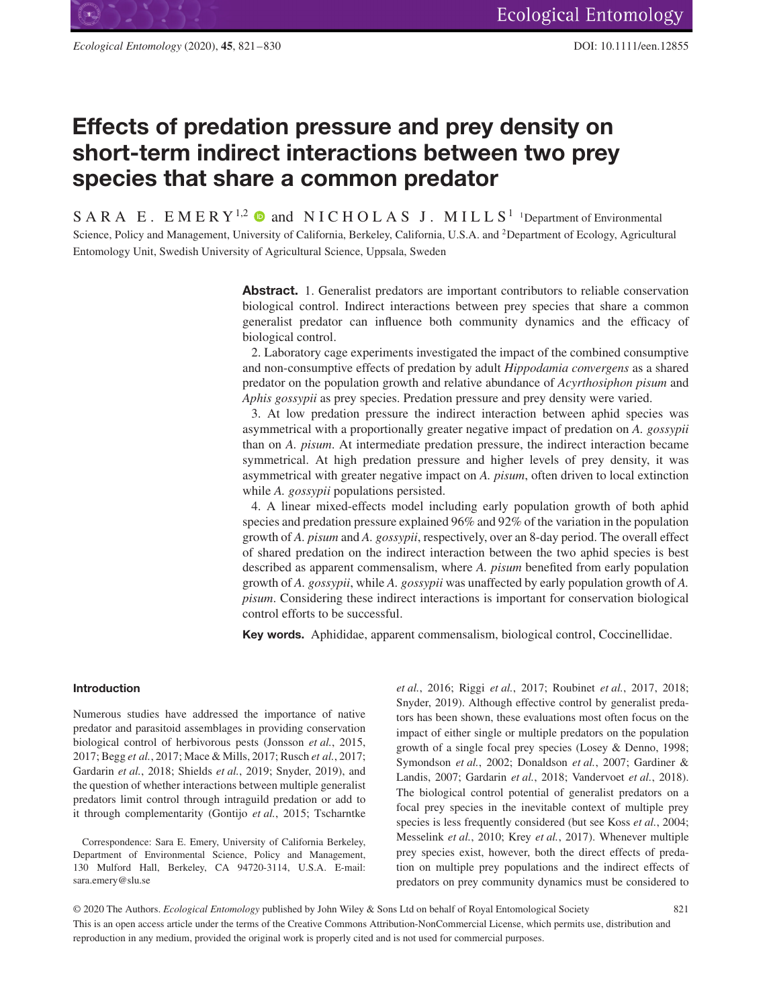

# **Effects of predation pressure and prey density on short-term indirect interactions between two prey species that share a common predator**

SARA E. EMERY<sup>1,2</sup> and NICHOLAS J. MILLS<sup>1</sup> 1Department of Environmental Science, Policy and Management, University of California, Berkeley, California, U.S.A. and 2Department of Ecology, Agricultural Entomology Unit, Swedish University of Agricultural Science, Uppsala, Sweden

> **Abstract.** 1. Generalist predators are important contributors to reliable conservation biological control. Indirect interactions between prey species that share a common generalist predator can influence both community dynamics and the efficacy of biological control.

> 2. Laboratory cage experiments investigated the impact of the combined consumptive and non-consumptive effects of predation by adult *Hippodamia convergens* as a shared predator on the population growth and relative abundance of *Acyrthosiphon pisum* and *Aphis gossypii* as prey species. Predation pressure and prey density were varied.

> 3. At low predation pressure the indirect interaction between aphid species was asymmetrical with a proportionally greater negative impact of predation on *A. gossypii* than on *A. pisum*. At intermediate predation pressure, the indirect interaction became symmetrical. At high predation pressure and higher levels of prey density, it was asymmetrical with greater negative impact on *A. pisum*, often driven to local extinction while *A. gossypii* populations persisted.

> 4. A linear mixed-effects model including early population growth of both aphid species and predation pressure explained 96% and 92% of the variation in the population growth of *A. pisum* and *A. gossypii*, respectively, over an 8-day period. The overall effect of shared predation on the indirect interaction between the two aphid species is best described as apparent commensalism, where *A. pisum* benefited from early population growth of *A. gossypii*, while *A. gossypii* was unaffected by early population growth of *A. pisum*. Considering these indirect interactions is important for conservation biological control efforts to be successful.

**Key words.** Aphididae, apparent commensalism, biological control, Coccinellidae.

## **Introduction**

Numerous studies have addressed the importance of native predator and parasitoid assemblages in providing conservation biological control of herbivorous pests (Jonsson *et al.*, 2015, 2017; Begg *et al.*, 2017; Mace & Mills, 2017; Rusch *et al.*, 2017; Gardarin *et al.*, 2018; Shields *et al.*, 2019; Snyder, 2019), and the question of whether interactions between multiple generalist predators limit control through intraguild predation or add to it through complementarity (Gontijo *et al.*, 2015; Tscharntke

Correspondence: Sara E. Emery, University of California Berkeley, Department of Environmental Science, Policy and Management, 130 Mulford Hall, Berkeley, CA 94720-3114, U.S.A. E-mail: sara.emery@slu.se

*et al.*, 2016; Riggi *et al.*, 2017; Roubinet *et al.*, 2017, 2018; Snyder, 2019). Although effective control by generalist predators has been shown, these evaluations most often focus on the impact of either single or multiple predators on the population growth of a single focal prey species (Losey & Denno, 1998; Symondson *et al.*, 2002; Donaldson *et al.*, 2007; Gardiner & Landis, 2007; Gardarin *et al.*, 2018; Vandervoet *et al.*, 2018). The biological control potential of generalist predators on a focal prey species in the inevitable context of multiple prey species is less frequently considered (but see Koss *et al.*, 2004; Messelink *et al.*, 2010; Krey *et al.*, 2017). Whenever multiple prey species exist, however, both the direct effects of predation on multiple prey populations and the indirect effects of predators on prey community dynamics must be considered to

© 2020 The Authors. *Ecological Entomology* published by John Wiley & Sons Ltd on behalf of Royal Entomological Society 821 This is an open access article under the terms of the Creative Commons Attribution-NonCommercial License, which permits use, distribution and reproduction in any medium, provided the original work is properly cited and is not used for commercial purposes.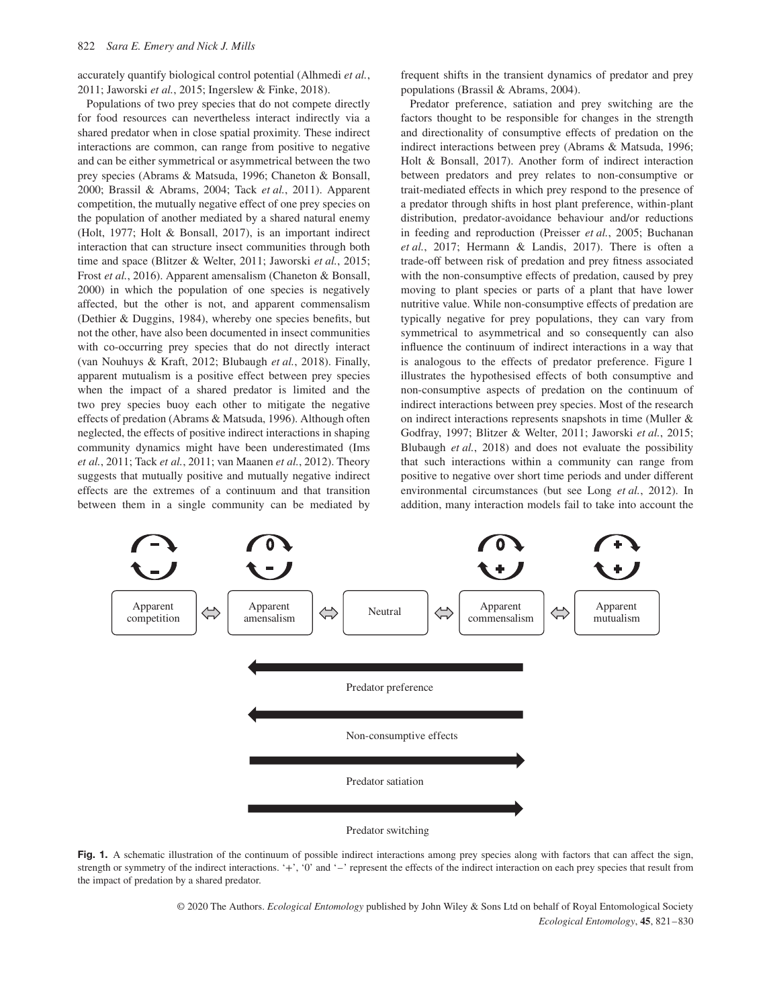accurately quantify biological control potential (Alhmedi *et al.*, 2011; Jaworski *et al.*, 2015; Ingerslew & Finke, 2018).

Populations of two prey species that do not compete directly for food resources can nevertheless interact indirectly via a shared predator when in close spatial proximity. These indirect interactions are common, can range from positive to negative and can be either symmetrical or asymmetrical between the two prey species (Abrams & Matsuda, 1996; Chaneton & Bonsall, 2000; Brassil & Abrams, 2004; Tack *et al.*, 2011). Apparent competition, the mutually negative effect of one prey species on the population of another mediated by a shared natural enemy (Holt, 1977; Holt & Bonsall, 2017), is an important indirect interaction that can structure insect communities through both time and space (Blitzer & Welter, 2011; Jaworski *et al.*, 2015; Frost *et al.*, 2016). Apparent amensalism (Chaneton & Bonsall, 2000) in which the population of one species is negatively affected, but the other is not, and apparent commensalism (Dethier & Duggins, 1984), whereby one species benefits, but not the other, have also been documented in insect communities with co-occurring prey species that do not directly interact (van Nouhuys & Kraft, 2012; Blubaugh *et al.*, 2018). Finally, apparent mutualism is a positive effect between prey species when the impact of a shared predator is limited and the two prey species buoy each other to mitigate the negative effects of predation (Abrams & Matsuda, 1996). Although often neglected, the effects of positive indirect interactions in shaping community dynamics might have been underestimated (Ims *et al.*, 2011; Tack *et al.*, 2011; van Maanen *et al.*, 2012). Theory suggests that mutually positive and mutually negative indirect effects are the extremes of a continuum and that transition between them in a single community can be mediated by frequent shifts in the transient dynamics of predator and prey populations (Brassil & Abrams, 2004).

Predator preference, satiation and prey switching are the factors thought to be responsible for changes in the strength and directionality of consumptive effects of predation on the indirect interactions between prey (Abrams & Matsuda, 1996; Holt & Bonsall, 2017). Another form of indirect interaction between predators and prey relates to non-consumptive or trait-mediated effects in which prey respond to the presence of a predator through shifts in host plant preference, within-plant distribution, predator-avoidance behaviour and/or reductions in feeding and reproduction (Preisser *et al.*, 2005; Buchanan *et al.*, 2017; Hermann & Landis, 2017). There is often a trade-off between risk of predation and prey fitness associated with the non-consumptive effects of predation, caused by prey moving to plant species or parts of a plant that have lower nutritive value. While non-consumptive effects of predation are typically negative for prey populations, they can vary from symmetrical to asymmetrical and so consequently can also influence the continuum of indirect interactions in a way that is analogous to the effects of predator preference. Figure 1 illustrates the hypothesised effects of both consumptive and non-consumptive aspects of predation on the continuum of indirect interactions between prey species. Most of the research on indirect interactions represents snapshots in time (Muller & Godfray, 1997; Blitzer & Welter, 2011; Jaworski *et al.*, 2015; Blubaugh *et al.*, 2018) and does not evaluate the possibility that such interactions within a community can range from positive to negative over short time periods and under different environmental circumstances (but see Long *et al.*, 2012). In addition, many interaction models fail to take into account the



Predator switching

Fig. 1. A schematic illustration of the continuum of possible indirect interactions among prey species along with factors that can affect the sign, strength or symmetry of the indirect interactions. '+', '0' and '–' represent the effects of the indirect interaction on each prey species that result from the impact of predation by a shared predator.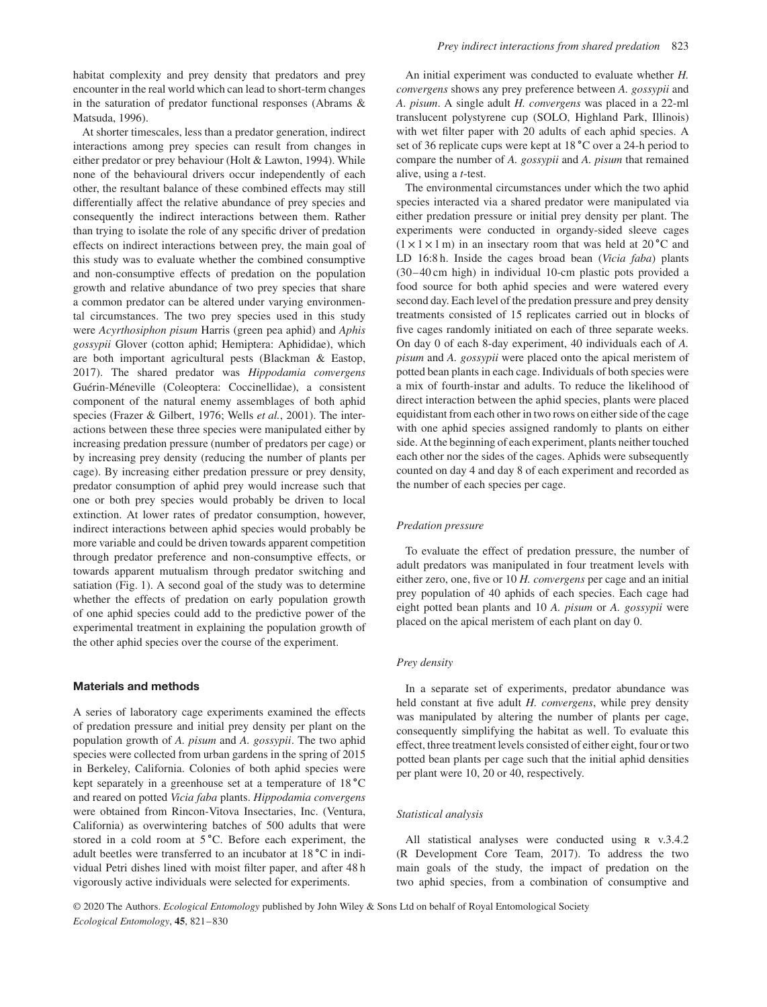habitat complexity and prey density that predators and prey encounter in the real world which can lead to short-term changes in the saturation of predator functional responses (Abrams  $\&$ Matsuda, 1996).

At shorter timescales, less than a predator generation, indirect interactions among prey species can result from changes in either predator or prey behaviour (Holt & Lawton, 1994). While none of the behavioural drivers occur independently of each other, the resultant balance of these combined effects may still differentially affect the relative abundance of prey species and consequently the indirect interactions between them. Rather than trying to isolate the role of any specific driver of predation effects on indirect interactions between prey, the main goal of this study was to evaluate whether the combined consumptive and non-consumptive effects of predation on the population growth and relative abundance of two prey species that share a common predator can be altered under varying environmental circumstances. The two prey species used in this study were *Acyrthosiphon pisum* Harris (green pea aphid) and *Aphis gossypii* Glover (cotton aphid; Hemiptera: Aphididae), which are both important agricultural pests (Blackman & Eastop, 2017). The shared predator was *Hippodamia convergens* Guérin-Méneville (Coleoptera: Coccinellidae), a consistent component of the natural enemy assemblages of both aphid species (Frazer & Gilbert, 1976; Wells *et al.*, 2001). The interactions between these three species were manipulated either by increasing predation pressure (number of predators per cage) or by increasing prey density (reducing the number of plants per cage). By increasing either predation pressure or prey density, predator consumption of aphid prey would increase such that one or both prey species would probably be driven to local extinction. At lower rates of predator consumption, however, indirect interactions between aphid species would probably be more variable and could be driven towards apparent competition through predator preference and non-consumptive effects, or towards apparent mutualism through predator switching and satiation (Fig. 1). A second goal of the study was to determine whether the effects of predation on early population growth of one aphid species could add to the predictive power of the experimental treatment in explaining the population growth of the other aphid species over the course of the experiment.

## **Materials and methods**

A series of laboratory cage experiments examined the effects of predation pressure and initial prey density per plant on the population growth of *A. pisum* and *A. gossypii*. The two aphid species were collected from urban gardens in the spring of 2015 in Berkeley, California. Colonies of both aphid species were kept separately in a greenhouse set at a temperature of 18 ∘C and reared on potted *Vicia faba* plants. *Hippodamia convergens* were obtained from Rincon-Vitova Insectaries, Inc. (Ventura, California) as overwintering batches of 500 adults that were stored in a cold room at 5 ∘C. Before each experiment, the adult beetles were transferred to an incubator at 18 ∘C in individual Petri dishes lined with moist filter paper, and after 48 h vigorously active individuals were selected for experiments.

An initial experiment was conducted to evaluate whether *H. convergens* shows any prey preference between *A. gossypii* and *A. pisum*. A single adult *H. convergens* was placed in a 22-ml translucent polystyrene cup (SOLO, Highland Park, Illinois) with wet filter paper with 20 adults of each aphid species. A set of 36 replicate cups were kept at 18 ∘C over a 24-h period to compare the number of *A. gossypii* and *A. pisum* that remained alive, using a *t*-test.

The environmental circumstances under which the two aphid species interacted via a shared predator were manipulated via either predation pressure or initial prey density per plant. The experiments were conducted in organdy-sided sleeve cages  $(1 \times 1 \times 1$  m) in an insectary room that was held at 20 °C and LD 16:8 h. Inside the cages broad bean (*Vicia faba*) plants (30–40 cm high) in individual 10-cm plastic pots provided a food source for both aphid species and were watered every second day. Each level of the predation pressure and prey density treatments consisted of 15 replicates carried out in blocks of five cages randomly initiated on each of three separate weeks. On day 0 of each 8-day experiment, 40 individuals each of *A. pisum* and *A. gossypii* were placed onto the apical meristem of potted bean plants in each cage. Individuals of both species were a mix of fourth-instar and adults. To reduce the likelihood of direct interaction between the aphid species, plants were placed equidistant from each other in two rows on either side of the cage with one aphid species assigned randomly to plants on either side. At the beginning of each experiment, plants neither touched each other nor the sides of the cages. Aphids were subsequently counted on day 4 and day 8 of each experiment and recorded as the number of each species per cage.

#### *Predation pressure*

To evaluate the effect of predation pressure, the number of adult predators was manipulated in four treatment levels with either zero, one, five or 10 *H. convergens* per cage and an initial prey population of 40 aphids of each species. Each cage had eight potted bean plants and 10 *A. pisum* or *A. gossypii* were placed on the apical meristem of each plant on day 0.

## *Prey density*

In a separate set of experiments, predator abundance was held constant at five adult *H. convergens*, while prey density was manipulated by altering the number of plants per cage, consequently simplifying the habitat as well. To evaluate this effect, three treatment levels consisted of either eight, four or two potted bean plants per cage such that the initial aphid densities per plant were 10, 20 or 40, respectively.

## *Statistical analysis*

All statistical analyses were conducted using R v.3.4.2 (R Development Core Team, 2017). To address the two main goals of the study, the impact of predation on the two aphid species, from a combination of consumptive and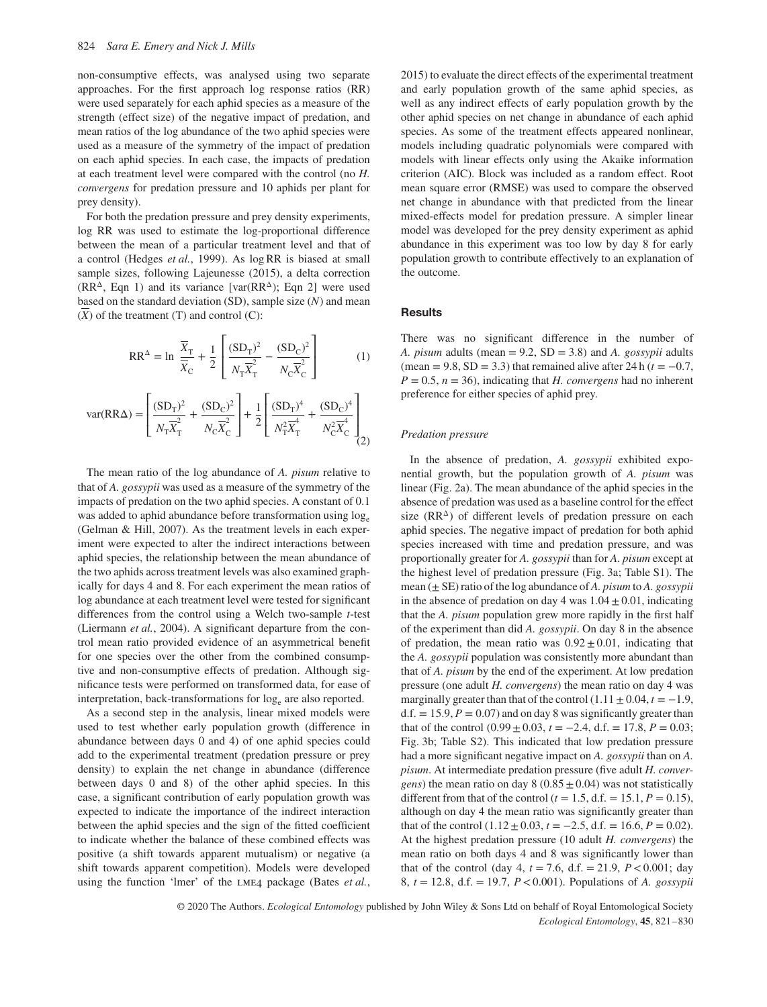non-consumptive effects, was analysed using two separate approaches. For the first approach log response ratios (RR) were used separately for each aphid species as a measure of the strength (effect size) of the negative impact of predation, and mean ratios of the log abundance of the two aphid species were used as a measure of the symmetry of the impact of predation on each aphid species. In each case, the impacts of predation at each treatment level were compared with the control (no *H. convergens* for predation pressure and 10 aphids per plant for prey density).

For both the predation pressure and prey density experiments, log RR was used to estimate the log-proportional difference between the mean of a particular treatment level and that of a control (Hedges *et al.*, 1999). As log RR is biased at small sample sizes, following Lajeunesse (2015), a delta correction  $(RR<sup>Δ</sup>, Eqn 1)$  and its variance [var( $RR<sup>Δ</sup>$ ); Eqn 2] were used based on the standard deviation (SD), sample size (*N*) and mean  $(X)$  of the treatment (T) and control (C):

$$
RR^{\Delta} = \ln \left[ \frac{\overline{X}_{T}}{\overline{X}_{C}} + \frac{1}{2} \left[ \frac{(SD_{T})^{2}}{N_{T}\overline{X}_{T}^{2}} - \frac{(SD_{C})^{2}}{N_{C}\overline{X}_{C}^{2}} \right] \right]
$$
 (1)

$$
var(RR\Delta) = \left[ \frac{(SD_T)^2}{N_T \overline{X}_T^2} + \frac{(SD_C)^2}{N_C \overline{X}_C^2} \right] + \frac{1}{2} \left[ \frac{(SD_T)^4}{N_T^2 \overline{X}_T^4} + \frac{(SD_C)^4}{N_C^2 \overline{X}_C^4} \right]_{(2)}
$$

The mean ratio of the log abundance of *A. pisum* relative to that of *A. gossypii* was used as a measure of the symmetry of the impacts of predation on the two aphid species. A constant of 0.1 was added to aphid abundance before transformation using log (Gelman & Hill, 2007). As the treatment levels in each experiment were expected to alter the indirect interactions between aphid species, the relationship between the mean abundance of the two aphids across treatment levels was also examined graphically for days 4 and 8. For each experiment the mean ratios of log abundance at each treatment level were tested for significant differences from the control using a Welch two-sample *t*-test (Liermann *et al.*, 2004). A significant departure from the control mean ratio provided evidence of an asymmetrical benefit for one species over the other from the combined consumptive and non-consumptive effects of predation. Although significance tests were performed on transformed data, for ease of interpretation, back-transformations for  $log<sub>e</sub>$  are also reported.

As a second step in the analysis, linear mixed models were used to test whether early population growth (difference in abundance between days 0 and 4) of one aphid species could add to the experimental treatment (predation pressure or prey density) to explain the net change in abundance (difference between days 0 and 8) of the other aphid species. In this case, a significant contribution of early population growth was expected to indicate the importance of the indirect interaction between the aphid species and the sign of the fitted coefficient to indicate whether the balance of these combined effects was positive (a shift towards apparent mutualism) or negative (a shift towards apparent competition). Models were developed using the function 'lmer' of the lme4 package (Bates *et al.*, 2015) to evaluate the direct effects of the experimental treatment and early population growth of the same aphid species, as well as any indirect effects of early population growth by the other aphid species on net change in abundance of each aphid species. As some of the treatment effects appeared nonlinear, models including quadratic polynomials were compared with models with linear effects only using the Akaike information criterion (AIC). Block was included as a random effect. Root mean square error (RMSE) was used to compare the observed net change in abundance with that predicted from the linear mixed-effects model for predation pressure. A simpler linear model was developed for the prey density experiment as aphid abundance in this experiment was too low by day 8 for early population growth to contribute effectively to an explanation of the outcome.

## **Results**

There was no significant difference in the number of *A. pisum* adults (mean  $= 9.2$ ,  $SD = 3.8$ ) and *A. gossypii* adults (mean =  $9.8$ , SD =  $3.3$ ) that remained alive after  $24 h(t = -0.7)$ ,  $P = 0.5$ ,  $n = 36$ ), indicating that *H. convergens* had no inherent preference for either species of aphid prey.

# *Predation pressure*

In the absence of predation, *A. gossypii* exhibited exponential growth, but the population growth of *A. pisum* was linear (Fig. 2a). The mean abundance of the aphid species in the absence of predation was used as a baseline control for the effect size  $(RR<sup>Δ</sup>)$  of different levels of predation pressure on each aphid species. The negative impact of predation for both aphid species increased with time and predation pressure, and was proportionally greater for *A. gossypii* than for *A. pisum* except at the highest level of predation pressure (Fig. 3a; Table S1). The mean (±SE) ratio of the log abundance of *A. pisum* to *A. gossypii* in the absence of predation on day 4 was  $1.04 \pm 0.01$ , indicating that the *A. pisum* population grew more rapidly in the first half of the experiment than did *A. gossypii*. On day 8 in the absence of predation, the mean ratio was  $0.92 \pm 0.01$ , indicating that the *A. gossypii* population was consistently more abundant than that of *A. pisum* by the end of the experiment. At low predation pressure (one adult *H. convergens*) the mean ratio on day 4 was marginally greater than that of the control  $(1.11 \pm 0.04, t = -1.9)$ ,  $d.f. = 15.9, P = 0.07$  and on day 8 was significantly greater than that of the control  $(0.99 \pm 0.03, t = -2.4, d.f. = 17.8, P = 0.03;$ Fig. 3b; Table S2). This indicated that low predation pressure had a more significant negative impact on *A. gossypii* than on *A. pisum*. At intermediate predation pressure (five adult *H. convergens*) the mean ratio on day  $8(0.85 \pm 0.04)$  was not statistically different from that of the control ( $t = 1.5$ , d.f. = 15.1,  $P = 0.15$ ), although on day 4 the mean ratio was significantly greater than that of the control  $(1.12 \pm 0.03, t = -2.5, d.f. = 16.6, P = 0.02)$ . At the highest predation pressure (10 adult *H. convergens*) the mean ratio on both days 4 and 8 was significantly lower than that of the control (day 4,  $t = 7.6$ , d.f. = 21.9,  $P < 0.001$ ; day 8, *t* = 12.8, d.f. = 19.7, *P<*0.001). Populations of *A. gossypii*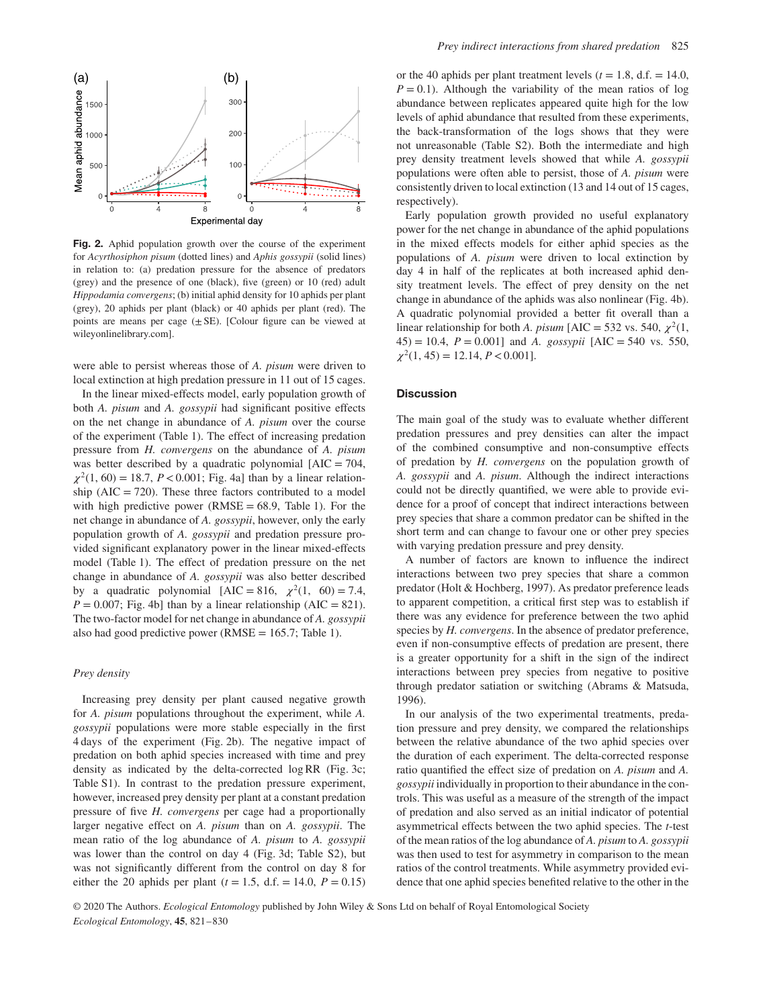

**Fig. 2.** Aphid population growth over the course of the experiment for *Acyrthosiphon pisum* (dotted lines) and *Aphis gossypii* (solid lines) in relation to: (a) predation pressure for the absence of predators (grey) and the presence of one (black), five (green) or 10 (red) adult *Hippodamia convergens*; (b) initial aphid density for 10 aphids per plant (grey), 20 aphids per plant (black) or 40 aphids per plant (red). The points are means per cage  $(\pm SE)$ . [Colour figure can be viewed at [wileyonlinelibrary.com\]](http://wileyonlinelibrary.com).

were able to persist whereas those of *A. pisum* were driven to local extinction at high predation pressure in 11 out of 15 cages.

In the linear mixed-effects model, early population growth of both *A. pisum* and *A. gossypii* had significant positive effects on the net change in abundance of *A. pisum* over the course of the experiment (Table 1). The effect of increasing predation pressure from *H. convergens* on the abundance of *A. pisum* was better described by a quadratic polynomial  $[AIC = 704,$  $\chi^2(1, 60) = 18.7, P < 0.001$ ; Fig. 4a] than by a linear relationship ( $AIC = 720$ ). These three factors contributed to a model with high predictive power ( $RMSE = 68.9$ , Table 1). For the net change in abundance of *A. gossypii*, however, only the early population growth of *A. gossypii* and predation pressure provided significant explanatory power in the linear mixed-effects model (Table 1). The effect of predation pressure on the net change in abundance of *A. gossypii* was also better described by a quadratic polynomial  $[AIC = 816, \chi^2(1, 60) = 7.4,$  $P = 0.007$ ; Fig. 4b] than by a linear relationship (AIC = 821). The two-factor model for net change in abundance of *A. gossypii* also had good predictive power ( $RMSE = 165.7$ ; Table 1).

### *Prey density*

Increasing prey density per plant caused negative growth for *A. pisum* populations throughout the experiment, while *A. gossypii* populations were more stable especially in the first 4 days of the experiment (Fig. 2b). The negative impact of predation on both aphid species increased with time and prey density as indicated by the delta-corrected log RR (Fig. 3c; Table S1). In contrast to the predation pressure experiment, however, increased prey density per plant at a constant predation pressure of five *H. convergens* per cage had a proportionally larger negative effect on *A. pisum* than on *A. gossypii*. The mean ratio of the log abundance of *A. pisum* to *A. gossypii* was lower than the control on day 4 (Fig. 3d; Table S2), but was not significantly different from the control on day 8 for either the 20 aphids per plant ( $t = 1.5$ , d.f. = 14.0,  $P = 0.15$ ) or the 40 aphids per plant treatment levels ( $t = 1.8$ , d.f.  $= 14.0$ ,  $P = 0.1$ ). Although the variability of the mean ratios of log abundance between replicates appeared quite high for the low levels of aphid abundance that resulted from these experiments, the back-transformation of the logs shows that they were not unreasonable (Table S2). Both the intermediate and high prey density treatment levels showed that while *A. gossypii* populations were often able to persist, those of *A. pisum* were consistently driven to local extinction (13 and 14 out of 15 cages, respectively).

Early population growth provided no useful explanatory power for the net change in abundance of the aphid populations in the mixed effects models for either aphid species as the populations of *A. pisum* were driven to local extinction by day 4 in half of the replicates at both increased aphid density treatment levels. The effect of prey density on the net change in abundance of the aphids was also nonlinear (Fig. 4b). A quadratic polynomial provided a better fit overall than a linear relationship for both *A. pisum* [AIC = 532 vs. 540,  $\chi^2(1)$ ,  $(45) = 10.4$ ,  $P = 0.001$ ] and *A. gossypii* [AIC = 540 vs. 550,  $\chi^2(1, 45) = 12.14, P < 0.001$ .

# **Discussion**

The main goal of the study was to evaluate whether different predation pressures and prey densities can alter the impact of the combined consumptive and non-consumptive effects of predation by *H. convergens* on the population growth of *A. gossypii* and *A. pisum*. Although the indirect interactions could not be directly quantified, we were able to provide evidence for a proof of concept that indirect interactions between prey species that share a common predator can be shifted in the short term and can change to favour one or other prey species with varying predation pressure and prey density.

A number of factors are known to influence the indirect interactions between two prey species that share a common predator (Holt & Hochberg, 1997). As predator preference leads to apparent competition, a critical first step was to establish if there was any evidence for preference between the two aphid species by *H. convergens*. In the absence of predator preference, even if non-consumptive effects of predation are present, there is a greater opportunity for a shift in the sign of the indirect interactions between prey species from negative to positive through predator satiation or switching (Abrams & Matsuda, 1996).

In our analysis of the two experimental treatments, predation pressure and prey density, we compared the relationships between the relative abundance of the two aphid species over the duration of each experiment. The delta-corrected response ratio quantified the effect size of predation on *A. pisum* and *A. gossypii* individually in proportion to their abundance in the controls. This was useful as a measure of the strength of the impact of predation and also served as an initial indicator of potential asymmetrical effects between the two aphid species. The *t*-test of the mean ratios of the log abundance of *A. pisum* to *A. gossypii* was then used to test for asymmetry in comparison to the mean ratios of the control treatments. While asymmetry provided evidence that one aphid species benefited relative to the other in the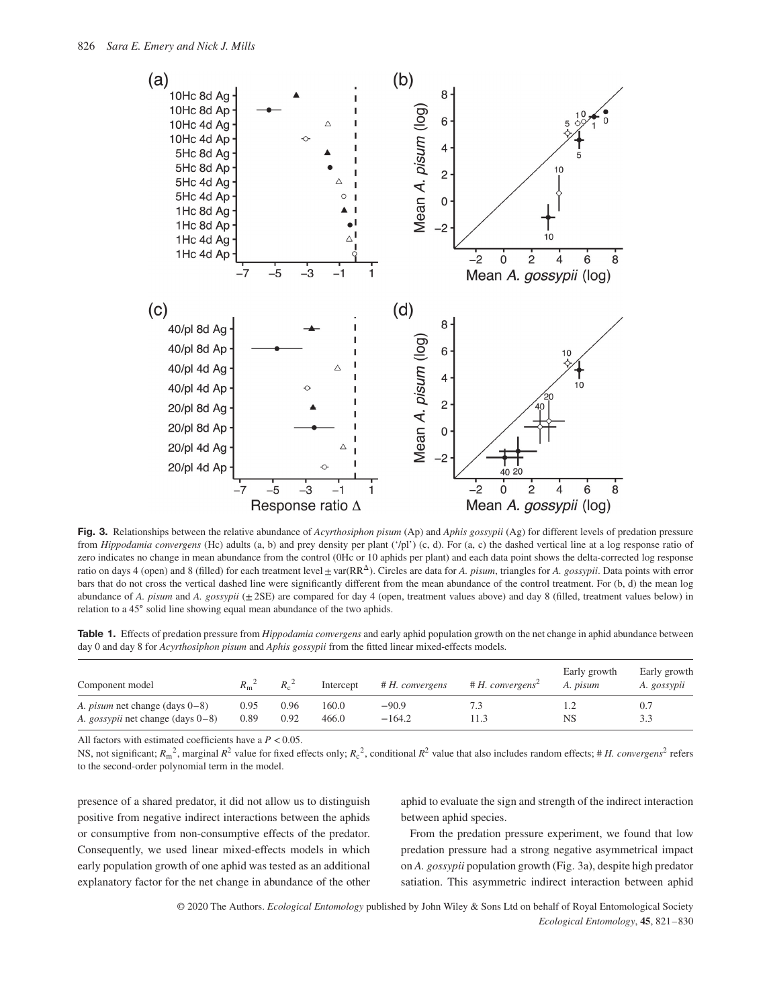

**Fig. 3.** Relationships between the relative abundance of *Acyrthosiphon pisum* (Ap) and *Aphis gossypii* (Ag) for different levels of predation pressure from *Hippodamia convergens* (Hc) adults (a, b) and prey density per plant ('/pl') (c, d). For (a, c) the dashed vertical line at a log response ratio of zero indicates no change in mean abundance from the control (0Hc or 10 aphids per plant) and each data point shows the delta-corrected log response ratio on days 4 (open) and 8 (filled) for each treatment level±var(RRΔ). Circles are data for *A. pisum*, triangles for *A. gossypii*. Data points with error bars that do not cross the vertical dashed line were significantly different from the mean abundance of the control treatment. For (b, d) the mean log abundance of *A. pisum* and *A. gossypii* (±2SE) are compared for day 4 (open, treatment values above) and day 8 (filled, treatment values below) in relation to a 45∘ solid line showing equal mean abundance of the two aphids.

|                                                                                                                       |  |  |  | Table 1. Effects of predation pressure from <i>Hippodamia convergens</i> and early aphid population growth on the net change in aphid abundance between |
|-----------------------------------------------------------------------------------------------------------------------|--|--|--|---------------------------------------------------------------------------------------------------------------------------------------------------------|
| day 0 and day 8 for <i>Acyrthosiphon pisum</i> and <i>Aphis gossypii</i> from the fitted linear mixed-effects models. |  |  |  |                                                                                                                                                         |

| Component model                                                                         | $R_{\rm m}$ <sup>2</sup> | $R_{\circ}{}^2$ | Intercept      | $#H$ . convergens   | # H. convergens <sup>2</sup> | Early growth<br>A. <i>pisum</i> | Early growth<br>A. gossypii |
|-----------------------------------------------------------------------------------------|--------------------------|-----------------|----------------|---------------------|------------------------------|---------------------------------|-----------------------------|
| A. <i>pisum</i> net change (days $0-8$ )<br>A. <i>gossypii</i> net change (days $0-8$ ) | 0.95<br>0.89             | 0.96<br>0.92    | 160.0<br>466.0 | $-90.9$<br>$-164.2$ | 7.3<br>11.3                  | NS                              | O.                          |

All factors with estimated coefficients have a *P <*0.05.

NS, not significant;  $R_m^2$ , marginal  $R^2$  value for fixed effects only;  $R_c^2$ , conditional  $R^2$  value that also includes random effects; # *H. convergens*<sup>2</sup> refers to the second-order polynomial term in the model.

presence of a shared predator, it did not allow us to distinguish positive from negative indirect interactions between the aphids or consumptive from non-consumptive effects of the predator. Consequently, we used linear mixed-effects models in which early population growth of one aphid was tested as an additional explanatory factor for the net change in abundance of the other aphid to evaluate the sign and strength of the indirect interaction between aphid species.

From the predation pressure experiment, we found that low predation pressure had a strong negative asymmetrical impact on *A. gossypii* population growth (Fig. 3a), despite high predator satiation. This asymmetric indirect interaction between aphid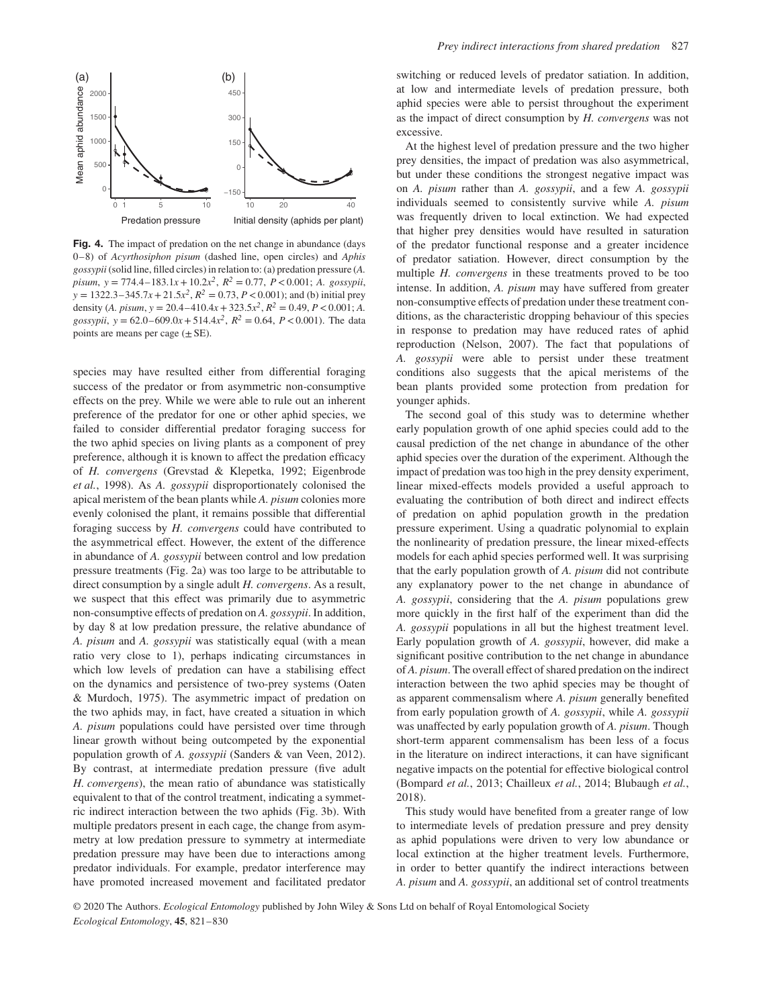

**Fig. 4.** The impact of predation on the net change in abundance (days 0–8) of *Acyrthosiphon pisum* (dashed line, open circles) and *Aphis gossypii* (solid line, filled circles) in relation to: (a) predation pressure (*A. pisum*, *y* = 774.4–183.1*x*+10.2*x2*, *R2* = 0.77, *P<*0.001; *A. gossypii*,  $y = 1322.3 - 345.7x + 21.5x^2$ ,  $R^2 = 0.73$ ,  $P < 0.001$ ); and (b) initial prey density (*A. pisum, y* = 20.4–410.4*x* + 323.5*x*<sup>2</sup>,  $R$ <sup>2</sup> = 0.49, *P* < 0.001; *A. gossypii*,  $y = 62.0 - 609.0x + 514.4x^2$ ,  $R^2 = 0.64$ ,  $P < 0.001$ ). The data points are means per cage  $(\pm SE)$ .

species may have resulted either from differential foraging success of the predator or from asymmetric non-consumptive effects on the prey. While we were able to rule out an inherent preference of the predator for one or other aphid species, we failed to consider differential predator foraging success for the two aphid species on living plants as a component of prey preference, although it is known to affect the predation efficacy of *H. convergens* (Grevstad & Klepetka, 1992; Eigenbrode *et al.*, 1998). As *A. gossypii* disproportionately colonised the apical meristem of the bean plants while *A. pisum* colonies more evenly colonised the plant, it remains possible that differential foraging success by *H. convergens* could have contributed to the asymmetrical effect. However, the extent of the difference in abundance of *A. gossypii* between control and low predation pressure treatments (Fig. 2a) was too large to be attributable to direct consumption by a single adult *H. convergens*. As a result, we suspect that this effect was primarily due to asymmetric non-consumptive effects of predation on *A. gossypii*. In addition, by day 8 at low predation pressure, the relative abundance of *A. pisum* and *A. gossypii* was statistically equal (with a mean ratio very close to 1), perhaps indicating circumstances in which low levels of predation can have a stabilising effect on the dynamics and persistence of two-prey systems (Oaten & Murdoch, 1975). The asymmetric impact of predation on the two aphids may, in fact, have created a situation in which *A. pisum* populations could have persisted over time through linear growth without being outcompeted by the exponential population growth of *A. gossypii* (Sanders & van Veen, 2012). By contrast, at intermediate predation pressure (five adult *H. convergens*), the mean ratio of abundance was statistically equivalent to that of the control treatment, indicating a symmetric indirect interaction between the two aphids (Fig. 3b). With multiple predators present in each cage, the change from asymmetry at low predation pressure to symmetry at intermediate predation pressure may have been due to interactions among predator individuals. For example, predator interference may have promoted increased movement and facilitated predator switching or reduced levels of predator satiation. In addition, at low and intermediate levels of predation pressure, both aphid species were able to persist throughout the experiment as the impact of direct consumption by *H. convergens* was not excessive.

At the highest level of predation pressure and the two higher prey densities, the impact of predation was also asymmetrical, but under these conditions the strongest negative impact was on *A. pisum* rather than *A. gossypii*, and a few *A. gossypii* individuals seemed to consistently survive while *A. pisum* was frequently driven to local extinction. We had expected that higher prey densities would have resulted in saturation of the predator functional response and a greater incidence of predator satiation. However, direct consumption by the multiple *H. convergens* in these treatments proved to be too intense. In addition, *A. pisum* may have suffered from greater non-consumptive effects of predation under these treatment conditions, as the characteristic dropping behaviour of this species in response to predation may have reduced rates of aphid reproduction (Nelson, 2007). The fact that populations of *A. gossypii* were able to persist under these treatment conditions also suggests that the apical meristems of the bean plants provided some protection from predation for younger aphids.

The second goal of this study was to determine whether early population growth of one aphid species could add to the causal prediction of the net change in abundance of the other aphid species over the duration of the experiment. Although the impact of predation was too high in the prey density experiment, linear mixed-effects models provided a useful approach to evaluating the contribution of both direct and indirect effects of predation on aphid population growth in the predation pressure experiment. Using a quadratic polynomial to explain the nonlinearity of predation pressure, the linear mixed-effects models for each aphid species performed well. It was surprising that the early population growth of *A. pisum* did not contribute any explanatory power to the net change in abundance of *A. gossypii*, considering that the *A. pisum* populations grew more quickly in the first half of the experiment than did the *A. gossypii* populations in all but the highest treatment level. Early population growth of *A. gossypii*, however, did make a significant positive contribution to the net change in abundance of *A. pisum*. The overall effect of shared predation on the indirect interaction between the two aphid species may be thought of as apparent commensalism where *A. pisum* generally benefited from early population growth of *A. gossypii*, while *A. gossypii* was unaffected by early population growth of *A. pisum*. Though short-term apparent commensalism has been less of a focus in the literature on indirect interactions, it can have significant negative impacts on the potential for effective biological control (Bompard *et al.*, 2013; Chailleux *et al.*, 2014; Blubaugh *et al.*, 2018).

This study would have benefited from a greater range of low to intermediate levels of predation pressure and prey density as aphid populations were driven to very low abundance or local extinction at the higher treatment levels. Furthermore, in order to better quantify the indirect interactions between *A. pisum* and *A. gossypii*, an additional set of control treatments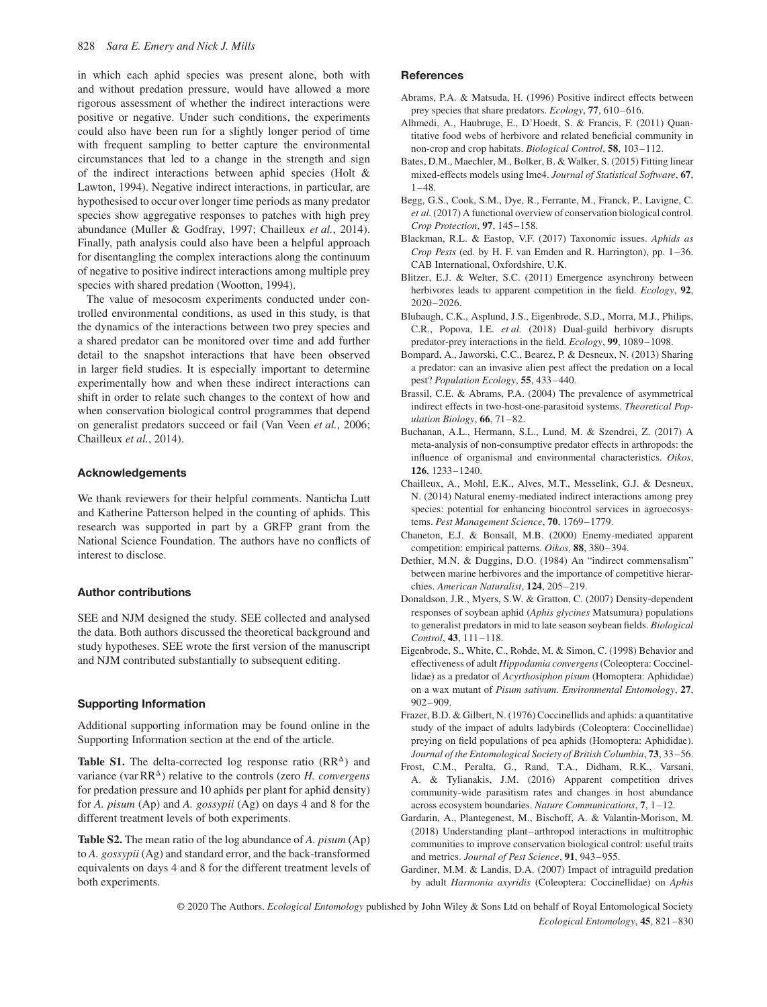in which each aphid species was present alone, both with and without predation pressure, would have allowed a more rigorous assessment of whether the indirect interactions were positive or negative. Under such conditions, the experiments could also have been run for a slightly longer period of time with frequent sampling to better capture the environmental circumstances that led to a change in the strength and sign of the indirect interactions between aphid species (Holt & Lawton, 1994). Negative indirect interactions, in particular, are hypothesised to occur over longer time periods as many predator species show aggregative responses to patches with high prey abundance (Muller & Godfray, 1997; Chailleux *et al.*, 2014). Finally, path analysis could also have been a helpful approach for disentangling the complex interactions along the continuum of negative to positive indirect interactions among multiple prey species with shared predation (Wootton, 1994).

The value of mesocosm experiments conducted under controlled environmental conditions, as used in this study, is that the dynamics of the interactions between two prey species and a shared predator can be monitored over time and add further detail to the snapshot interactions that have been observed in larger field studies. It is especially important to determine experimentally how and when these indirect interactions can shift in order to relate such changes to the context of how and when conservation biological control programmes that depend on generalist predators succeed or fail (Van Veen *et al.*, 2006; Chailleux *et al.*, 2014).

## **Acknowledgements**

We thank reviewers for their helpful comments. Nanticha Lutt and Katherine Patterson helped in the counting of aphids. This research was supported in part by a GRFP grant from the National Science Foundation. The authors have no conflicts of interest to disclose.

## **Author contributions**

SEE and NJM designed the study. SEE collected and analysed the data. Both authors discussed the theoretical background and study hypotheses. SEE wrote the first version of the manuscript and NJM contributed substantially to subsequent editing.

## **Supporting Information**

Additional supporting information may be found online in the Supporting Information section at the end of the article.

Table S1. The delta-corrected log response ratio (RR<sup>Δ</sup>) and variance (var RR<sup>Δ</sup>) relative to the controls (zero *H. convergens* for predation pressure and 10 aphids per plant for aphid density) for *A. pisum* (Ap) and *A. gossypii* (Ag) on days 4 and 8 for the different treatment levels of both experiments.

**Table S2.** The mean ratio of the log abundance of *A. pisum* (Ap) to *A. gossypii* (Ag) and standard error, and the back-transformed equivalents on days 4 and 8 for the different treatment levels of both experiments.

## **References**

- Abrams, P.A. & Matsuda, H. (1996) Positive indirect effects between prey species that share predators. *Ecology*, **77**, 610–616.
- Alhmedi, A., Haubruge, E., D'Hoedt, S. & Francis, F. (2011) Quantitative food webs of herbivore and related beneficial community in non-crop and crop habitats. *Biological Control*, **58**, 103–112.
- Bates, D.M., Maechler, M., Bolker, B. & Walker, S. (2015) Fitting linear mixed-effects models using lme4. *Journal of Statistical Software*, **67**, 1–48.
- Begg, G.S., Cook, S.M., Dye, R., Ferrante, M., Franck, P., Lavigne, C. *et al.* (2017) A functional overview of conservation biological control. *Crop Protection*, **97**, 145–158.
- Blackman, R.L. & Eastop, V.F. (2017) Taxonomic issues. *Aphids as Crop Pests* (ed. by H. F. van Emden and R. Harrington), pp. 1–36. CAB International, Oxfordshire, U.K.
- Blitzer, E.J. & Welter, S.C. (2011) Emergence asynchrony between herbivores leads to apparent competition in the field. *Ecology*, **92**, 2020–2026.
- Blubaugh, C.K., Asplund, J.S., Eigenbrode, S.D., Morra, M.J., Philips, C.R., Popova, I.E. *et al.* (2018) Dual-guild herbivory disrupts predator-prey interactions in the field. *Ecology*, **99**, 1089–1098.
- Bompard, A., Jaworski, C.C., Bearez, P. & Desneux, N. (2013) Sharing a predator: can an invasive alien pest affect the predation on a local pest? *Population Ecology*, **55**, 433–440.
- Brassil, C.E. & Abrams, P.A. (2004) The prevalence of asymmetrical indirect effects in two-host-one-parasitoid systems. *Theoretical Population Biology*, **66**, 71–82.
- Buchanan, A.L., Hermann, S.L., Lund, M. & Szendrei, Z. (2017) A meta-analysis of non-consumptive predator effects in arthropods: the influence of organismal and environmental characteristics. *Oikos*, **126**, 1233–1240.
- Chailleux, A., Mohl, E.K., Alves, M.T., Messelink, G.J. & Desneux, N. (2014) Natural enemy-mediated indirect interactions among prey species: potential for enhancing biocontrol services in agroecosystems. *Pest Management Science*, **70**, 1769–1779.
- Chaneton, E.J. & Bonsall, M.B. (2000) Enemy-mediated apparent competition: empirical patterns. *Oikos*, **88**, 380–394.
- Dethier, M.N. & Duggins, D.O. (1984) An "indirect commensalism" between marine herbivores and the importance of competitive hierarchies. *American Naturalist*, **124**, 205–219.
- Donaldson, J.R., Myers, S.W. & Gratton, C. (2007) Density-dependent responses of soybean aphid (*Aphis glycines* Matsumura) populations to generalist predators in mid to late season soybean fields. *Biological Control*, **43**, 111–118.
- Eigenbrode, S., White, C., Rohde, M. & Simon, C. (1998) Behavior and effectiveness of adult *Hippodamia convergens*(Coleoptera: Coccinellidae) as a predator of *Acyrthosiphon pisum* (Homoptera: Aphididae) on a wax mutant of *Pisum sativum*. *Environmental Entomology*, **27**, 902–909.
- Frazer, B.D. & Gilbert, N. (1976) Coccinellids and aphids: a quantitative study of the impact of adults ladybirds (Coleoptera: Coccinellidae) preying on field populations of pea aphids (Homoptera: Aphididae). *Journal of the Entomological Society of British Columbia*, **73**, 33–56.
- Frost, C.M., Peralta, G., Rand, T.A., Didham, R.K., Varsani, A. & Tylianakis, J.M. (2016) Apparent competition drives community-wide parasitism rates and changes in host abundance across ecosystem boundaries. *Nature Communications*, **7**, 1–12.
- Gardarin, A., Plantegenest, M., Bischoff, A. & Valantin-Morison, M. (2018) Understanding plant–arthropod interactions in multitrophic communities to improve conservation biological control: useful traits and metrics. *Journal of Pest Science*, **91**, 943–955.
- Gardiner, M.M. & Landis, D.A. (2007) Impact of intraguild predation by adult *Harmonia axyridis* (Coleoptera: Coccinellidae) on *Aphis*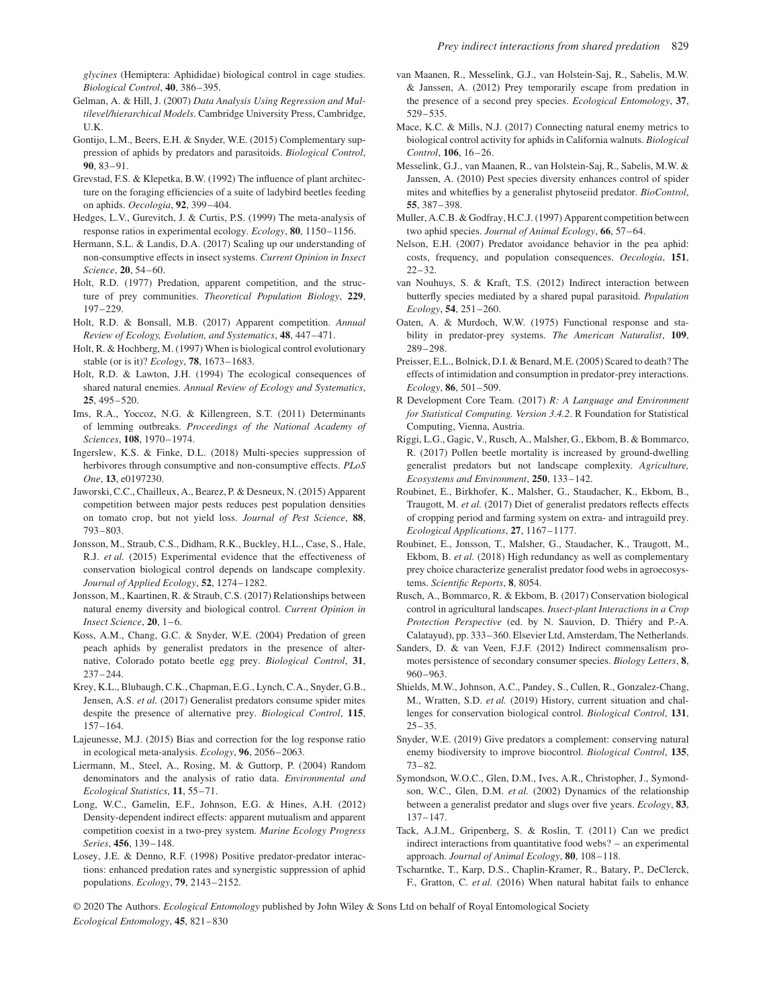*glycines* (Hemiptera: Aphididae) biological control in cage studies. *Biological Control*, **40**, 386–395.

- Gelman, A. & Hill, J. (2007) *Data Analysis Using Regression and Multilevel/hierarchical Models*. Cambridge University Press, Cambridge, U.K.
- Gontijo, L.M., Beers, E.H. & Snyder, W.E. (2015) Complementary suppression of aphids by predators and parasitoids. *Biological Control*, **90**, 83–91.
- Grevstad, F.S. & Klepetka, B.W. (1992) The influence of plant architecture on the foraging efficiencies of a suite of ladybird beetles feeding on aphids. *Oecologia*, **92**, 399–404.
- Hedges, L.V., Gurevitch, J. & Curtis, P.S. (1999) The meta-analysis of response ratios in experimental ecology. *Ecology*, **80**, 1150–1156.
- Hermann, S.L. & Landis, D.A. (2017) Scaling up our understanding of non-consumptive effects in insect systems. *Current Opinion in Insect Science*, **20**, 54–60.
- Holt, R.D. (1977) Predation, apparent competition, and the structure of prey communities. *Theoretical Population Biology*, **229**, 197–229.
- Holt, R.D. & Bonsall, M.B. (2017) Apparent competition. *Annual Review of Ecology, Evolution, and Systematics*, **48**, 447–471.
- Holt, R. & Hochberg, M. (1997) When is biological control evolutionary stable (or is it)? *Ecology*, **78**, 1673–1683.
- Holt, R.D. & Lawton, J.H. (1994) The ecological consequences of shared natural enemies. *Annual Review of Ecology and Systematics*, **25**, 495–520.
- Ims, R.A., Yoccoz, N.G. & Killengreen, S.T. (2011) Determinants of lemming outbreaks. *Proceedings of the National Academy of Sciences*, **108**, 1970–1974.
- Ingerslew, K.S. & Finke, D.L. (2018) Multi-species suppression of herbivores through consumptive and non-consumptive effects. *PLoS One*, **13**, e0197230.
- Jaworski, C.C., Chailleux, A., Bearez, P. & Desneux, N. (2015) Apparent competition between major pests reduces pest population densities on tomato crop, but not yield loss. *Journal of Pest Science*, **88**, 793–803.
- Jonsson, M., Straub, C.S., Didham, R.K., Buckley, H.L., Case, S., Hale, R.J. *et al.* (2015) Experimental evidence that the effectiveness of conservation biological control depends on landscape complexity. *Journal of Applied Ecology*, **52**, 1274–1282.
- Jonsson, M., Kaartinen, R. & Straub, C.S. (2017) Relationships between natural enemy diversity and biological control. *Current Opinion in Insect Science*, **20**, 1–6.
- Koss, A.M., Chang, G.C. & Snyder, W.E. (2004) Predation of green peach aphids by generalist predators in the presence of alternative, Colorado potato beetle egg prey. *Biological Control*, **31**, 237–244.
- Krey, K.L., Blubaugh, C.K., Chapman, E.G., Lynch, C.A., Snyder, G.B., Jensen, A.S. *et al.* (2017) Generalist predators consume spider mites despite the presence of alternative prey. *Biological Control*, **115**, 157–164.
- Lajeunesse, M.J. (2015) Bias and correction for the log response ratio in ecological meta-analysis. *Ecology*, **96**, 2056–2063.
- Liermann, M., Steel, A., Rosing, M. & Guttorp, P. (2004) Random denominators and the analysis of ratio data. *Environmental and Ecological Statistics*, **11**, 55–71.
- Long, W.C., Gamelin, E.F., Johnson, E.G. & Hines, A.H. (2012) Density-dependent indirect effects: apparent mutualism and apparent competition coexist in a two-prey system. *Marine Ecology Progress Series*, **456**, 139–148.
- Losey, J.E. & Denno, R.F. (1998) Positive predator-predator interactions: enhanced predation rates and synergistic suppression of aphid populations. *Ecology*, **79**, 2143–2152.
- van Maanen, R., Messelink, G.J., van Holstein-Saj, R., Sabelis, M.W. & Janssen, A. (2012) Prey temporarily escape from predation in the presence of a second prey species. *Ecological Entomology*, **37**, 529–535.
- Mace, K.C. & Mills, N.J. (2017) Connecting natural enemy metrics to biological control activity for aphids in California walnuts. *Biological Control*, **106**, 16–26.
- Messelink, G.J., van Maanen, R., van Holstein-Saj, R., Sabelis, M.W. & Janssen, A. (2010) Pest species diversity enhances control of spider mites and whiteflies by a generalist phytoseiid predator. *BioControl*, **55**, 387–398.
- Muller, A.C.B. & Godfray, H.C.J. (1997) Apparent competition between two aphid species. *Journal of Animal Ecology*, **66**, 57–64.
- Nelson, E.H. (2007) Predator avoidance behavior in the pea aphid: costs, frequency, and population consequences. *Oecologia*, **151**, 22–32.
- van Nouhuys, S. & Kraft, T.S. (2012) Indirect interaction between butterfly species mediated by a shared pupal parasitoid. *Population Ecology*, **54**, 251–260.
- Oaten, A. & Murdoch, W.W. (1975) Functional response and stability in predator-prey systems. *The American Naturalist*, **109**, 289–298.
- Preisser, E.L., Bolnick, D.I. & Benard, M.E. (2005) Scared to death? The effects of intimidation and consumption in predator-prey interactions. *Ecology*, **86**, 501–509.
- R Development Core Team. (2017) *R: A Language and Environment for Statistical Computing. Version 3.4.2*. R Foundation for Statistical Computing, Vienna, Austria.
- Riggi, L.G., Gagic, V., Rusch, A., Malsher, G., Ekbom, B. & Bommarco, R. (2017) Pollen beetle mortality is increased by ground-dwelling generalist predators but not landscape complexity. *Agriculture, Ecosystems and Environment*, **250**, 133–142.
- Roubinet, E., Birkhofer, K., Malsher, G., Staudacher, K., Ekbom, B., Traugott, M. *et al.* (2017) Diet of generalist predators reflects effects of cropping period and farming system on extra- and intraguild prey. *Ecological Applications*, **27**, 1167–1177.
- Roubinet, E., Jonsson, T., Malsher, G., Staudacher, K., Traugott, M., Ekbom, B. *et al.* (2018) High redundancy as well as complementary prey choice characterize generalist predator food webs in agroecosystems. *Scientific Reports*, **8**, 8054.
- Rusch, A., Bommarco, R. & Ekbom, B. (2017) Conservation biological control in agricultural landscapes. *Insect-plant Interactions in a Crop Protection Perspective* (ed. by N. Sauvion, D. Thiéry and P.-A. Calatayud), pp. 333–360. Elsevier Ltd, Amsterdam, The Netherlands.
- Sanders, D. & van Veen, F.J.F. (2012) Indirect commensalism promotes persistence of secondary consumer species. *Biology Letters*, **8**, 960–963.
- Shields, M.W., Johnson, A.C., Pandey, S., Cullen, R., Gonzalez-Chang, M., Wratten, S.D. *et al.* (2019) History, current situation and challenges for conservation biological control. *Biological Control*, **131**,  $25 - 35$ .
- Snyder, W.E. (2019) Give predators a complement: conserving natural enemy biodiversity to improve biocontrol. *Biological Control*, **135**, 73–82.
- Symondson, W.O.C., Glen, D.M., Ives, A.R., Christopher, J., Symondson, W.C., Glen, D.M. *et al.* (2002) Dynamics of the relationship between a generalist predator and slugs over five years. *Ecology*, **83**, 137–147.
- Tack, A.J.M., Gripenberg, S. & Roslin, T. (2011) Can we predict indirect interactions from quantitative food webs? – an experimental approach. *Journal of Animal Ecology*, **80**, 108–118.
- Tscharntke, T., Karp, D.S., Chaplin-Kramer, R., Batary, P., DeClerck, F., Gratton, C. *et al.* (2016) When natural habitat fails to enhance